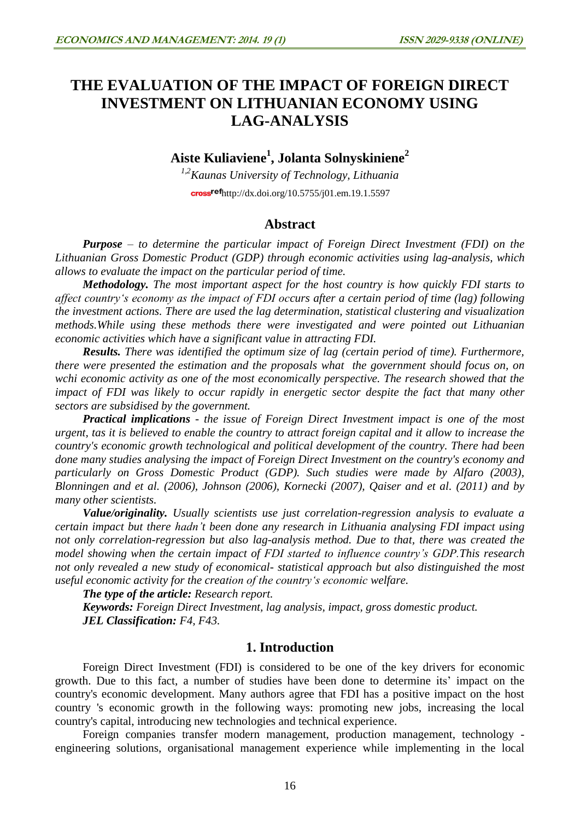# **THE EVALUATION OF THE IMPACT OF FOREIGN DIRECT INVESTMENT ON LITHUANIAN ECONOMY USING LAG-ANALYSIS**

**Aiste Kuliaviene<sup>1</sup> , Jolanta Solnyskiniene<sup>2</sup>**

*1,2Kaunas University of Technology, Lithuania*  $crossref$ <http://dx.doi.org/10.5755/j01.em.19.1.5597>

# **Abstract**

*Purpose – to determine the particular impact of Foreign Direct Investment (FDI) on the Lithuanian Gross Domestic Product (GDP) through economic activities using lag-analysis, which allows to evaluate the impact on the particular period of time.*

*Methodology. The most important aspect for the host country is how quickly FDI starts to affect country's economy as the impact of FDI occurs after a certain period of time (lag) following the investment actions. There are used the lag determination, statistical clustering and visualization methods.While using these methods there were investigated and were pointed out Lithuanian economic activities which have a significant value in attracting FDI.*

*Results. There was identified the optimum size of lag (certain period of time). Furthermore, there were presented the estimation and the proposals what the government should focus on, on wchi economic activity as one of the most economically perspective. The research showed that the impact of FDI was likely to occur rapidly in energetic sector despite the fact that many other sectors are subsidised by the government.*

*Practical implications - the issue of Foreign Direct Investment impact is one of the most urgent, tas it is believed to enable the country to attract foreign capital and it allow to increase the country's economic growth technological and political development of the country. There had been done many studies analysing the impact of Foreign Direct Investment on the country's economy and particularly on Gross Domestic Product (GDP). Such studies were made by Alfaro (2003), Blonningen and et al. (2006), Johnson (2006), Kornecki (2007), Qaiser and et al. (2011) and by many other scientists.*

*Value/originality. Usually scientists use just correlation-regression analysis to evaluate a certain impact but there hadn't been done any research in Lithuania analysing FDI impact using not only correlation-regression but also lag-analysis method. Due to that, there was created the model showing when the certain impact of FDI started to influence country's GDP.This research not only revealed a new study of economical- statistical approach but also distinguished the most useful economic activity for the creation of the country's economic welfare.* 

*The type of the article: Research report.*

*Keywords: Foreign Direct Investment, lag analysis, impact, gross domestic product. JEL Classification: F4, F43.*

# **1. Introduction**

Foreign Direct Investment (FDI) is considered to be one of the key drivers for economic growth. Due to this fact, a number of studies have been done to determine its' impact on the country's economic development. Many authors agree that FDI has a positive impact on the host country 's economic growth in the following ways: promoting new jobs, increasing the local country's capital, introducing new technologies and technical experience.

Foreign companies transfer modern management, production management, technology engineering solutions, organisational management experience while implementing in the local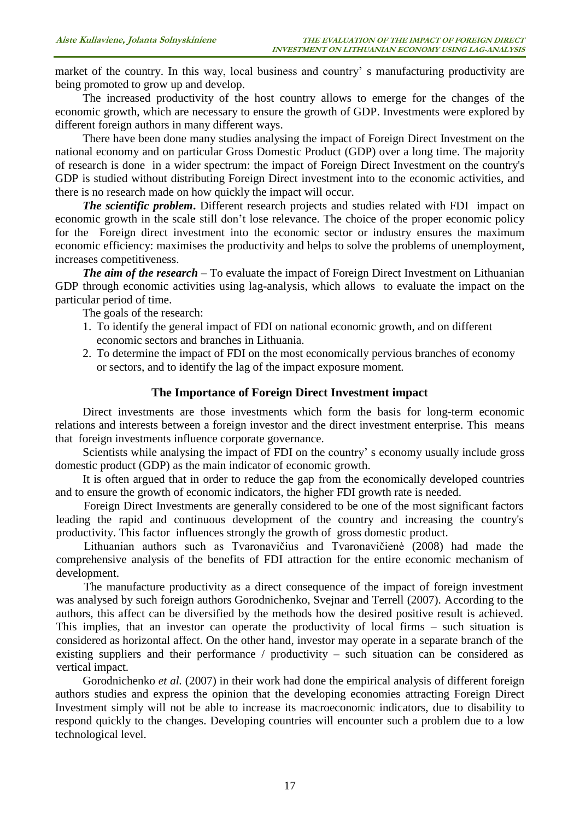market of the country. In this way, local business and country' s manufacturing productivity are being promoted to grow up and develop.

The increased productivity of the host country allows to emerge for the changes of the economic growth, which are necessary to ensure the growth of GDP. Investments were explored by different foreign authors in many different ways.

There have been done many studies analysing the impact of Foreign Direct Investment on the national economy and on particular Gross Domestic Product (GDP) over a long time. The majority of research is done in a wider spectrum: the impact of Foreign Direct Investment on the country's GDP is studied without distributing Foreign Direct investment into to the economic activities, and there is no research made on how quickly the impact will occur.

*The scientific problem***.** Different research projects and studies related with FDI impact on economic growth in the scale still don't lose relevance. The choice of the proper economic policy for the Foreign direct investment into the economic sector or industry ensures the maximum economic efficiency: maximises the productivity and helps to solve the problems of unemployment, increases competitiveness.

*The aim of the research* – To evaluate the impact of Foreign Direct Investment on Lithuanian GDP through economic activities using lag-analysis, which allows to evaluate the impact on the particular period of time.

The goals of the research:

- 1. To identify the general impact of FDI on national economic growth, and on different economic sectors and branches in Lithuania.
- 2. To determine the impact of FDI on the most economically pervious branches of economy or sectors, and to identify the lag of the impact exposure moment.

#### **The Importance of Foreign Direct Investment impact**

Direct investments are those investments which form the basis for long-term economic relations and interests between a foreign investor and the direct investment enterprise. This means that foreign investments influence corporate governance.

Scientists while analysing the impact of FDI on the country' s economy usually include gross domestic product (GDP) as the main indicator of economic growth.

It is often argued that in order to reduce the gap from the economically developed countries and to ensure the growth of economic indicators, the higher FDI growth rate is needed.

Foreign Direct Investments are generally considered to be one of the most significant factors leading the rapid and continuous development of the country and increasing the country's productivity. This factor influences strongly the growth of gross domestic product.

Lithuanian authors such as Tvaronavičius and Tvaronavičienė (2008) had made the comprehensive analysis of the benefits of FDI attraction for the entire economic mechanism of development.

The manufacture productivity as a direct consequence of the impact of foreign investment was analysed by such foreign authors Gorodnichenko, Svejnar and Terrell (2007). According to the authors, this affect can be diversified by the methods how the desired positive result is achieved. This implies, that an investor can operate the productivity of local firms – such situation is considered as horizontal affect. On the other hand, investor may operate in a separate branch of the existing suppliers and their performance / productivity – such situation can be considered as vertical impact.

Gorodnichenko *et al.* (2007) in their work had done the empirical analysis of different foreign authors studies and express the opinion that the developing economies attracting Foreign Direct Investment simply will not be able to increase its macroeconomic indicators, due to disability to respond quickly to the changes. Developing countries will encounter such a problem due to a low technological level.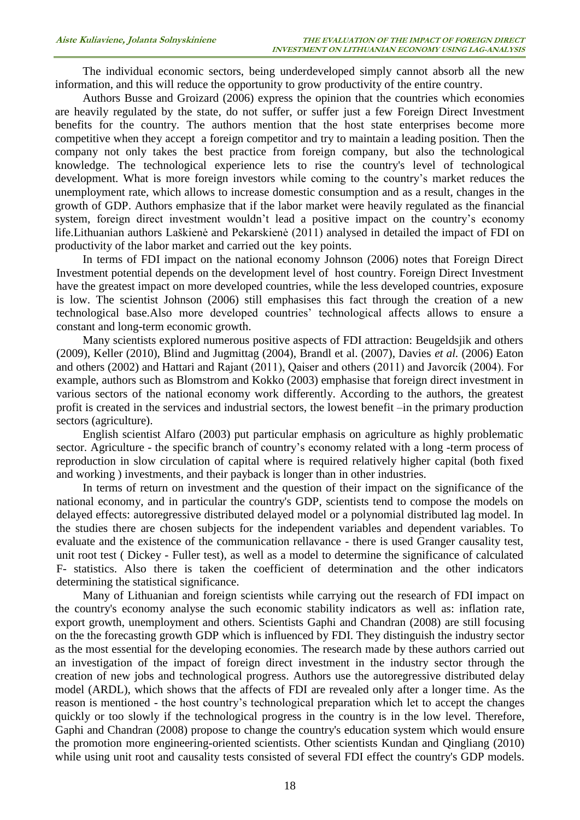The individual economic sectors, being underdeveloped simply cannot absorb all the new information, and this will reduce the opportunity to grow productivity of the entire country.

Authors Busse and Groizard (2006) express the opinion that the countries which economies are heavily regulated by the state, do not suffer, or suffer just a few Foreign Direct Investment benefits for the country. The authors mention that the host state enterprises become more competitive when they accept a foreign competitor and try to maintain a leading position. Then the company not only takes the best practice from foreign company, but also the technological knowledge. The technological experience lets to rise the country's level of technological development. What is more foreign investors while coming to the country's market reduces the unemployment rate, which allows to increase domestic consumption and as a result, changes in the growth of GDP. Authors emphasize that if the labor market were heavily regulated as the financial system, foreign direct investment wouldn't lead a positive impact on the country's economy life.Lithuanian authors Laškienė and Pekarskienė (2011) analysed in detailed the impact of FDI on productivity of the labor market and carried out the key points.

In terms of FDI impact on the national economy Johnson (2006) notes that Foreign Direct Investment potential depends on the development level of host country. Foreign Direct Investment have the greatest impact on more developed countries, while the less developed countries, exposure is low. The scientist Johnson (2006) still emphasises this fact through the creation of a new technological base.Also more developed countries' technological affects allows to ensure a constant and long-term economic growth.

Many scientists explored numerous positive aspects of FDI attraction: Beugeldsjik and others (2009), Keller (2010), Blind and Jugmittag (2004), Brandl et al. (2007), Davies *et al.* (2006) Eaton and others (2002) and Hattari and Rajant (2011), Qaiser and others (2011) and Javorcík (2004). For example, authors such as Blomstrom and Kokko (2003) emphasise that foreign direct investment in various sectors of the national economy work differently. According to the authors, the greatest profit is created in the services and industrial sectors, the lowest benefit –in the primary production sectors (agriculture).

English scientist Alfaro (2003) put particular emphasis on agriculture as highly problematic sector. Agriculture - the specific branch of country's economy related with a long -term process of reproduction in slow circulation of capital where is required relatively higher capital (both fixed and working ) investments, and their payback is longer than in other industries.

In terms of return on investment and the question of their impact on the significance of the national economy, and in particular the country's GDP, scientists tend to compose the models on delayed effects: autoregressive distributed delayed model or a polynomial distributed lag model. In the studies there are chosen subjects for the independent variables and dependent variables. To evaluate and the existence of the communication rellavance - there is used Granger causality test, unit root test ( Dickey - Fuller test), as well as a model to determine the significance of calculated F- statistics. Also there is taken the coefficient of determination and the other indicators determining the statistical significance.

Many of Lithuanian and foreign scientists while carrying out the research of FDI impact on the country's economy analyse the such economic stability indicators as well as: inflation rate, export growth, unemployment and others. Scientists Gaphi and Chandran (2008) are still focusing on the the forecasting growth GDP which is influenced by FDI. They distinguish the industry sector as the most essential for the developing economies. The research made by these authors carried out an investigation of the impact of foreign direct investment in the industry sector through the creation of new jobs and technological progress. Authors use the autoregressive distributed delay model (ARDL), which shows that the affects of FDI are revealed only after a longer time. As the reason is mentioned - the host country's technological preparation which let to accept the changes quickly or too slowly if the technological progress in the country is in the low level. Therefore, Gaphi and Chandran (2008) propose to change the country's education system which would ensure the promotion more engineering-oriented scientists. Other scientists Kundan and Qingliang (2010) while using unit root and causality tests consisted of several FDI effect the country's GDP models.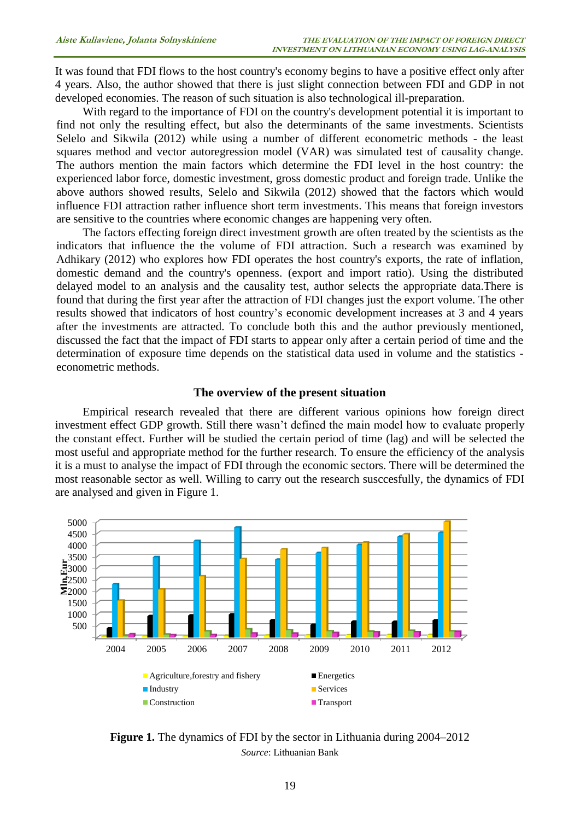It was found that FDI flows to the host country's economy begins to have a positive effect only after 4 years. Also, the author showed that there is just slight connection between FDI and GDP in not developed economies. The reason of such situation is also technological ill-preparation.

With regard to the importance of FDI on the country's development potential it is important to find not only the resulting effect, but also the determinants of the same investments. Scientists Selelo and Sikwila (2012) while using a number of different econometric methods - the least squares method and vector autoregression model (VAR) was simulated test of causality change. The authors mention the main factors which determine the FDI level in the host country: the experienced labor force, domestic investment, gross domestic product and foreign trade. Unlike the above authors showed results, Selelo and Sikwila (2012) showed that the factors which would influence FDI attraction rather influence short term investments. This means that foreign investors are sensitive to the countries where economic changes are happening very often.

The factors effecting foreign direct investment growth are often treated by the scientists as the indicators that influence the the volume of FDI attraction. Such a research was examined by Adhikary (2012) who explores how FDI operates the host country's exports, the rate of inflation, domestic demand and the country's openness. (export and import ratio). Using the distributed delayed model to an analysis and the causality test, author selects the appropriate data.There is found that during the first year after the attraction of FDI changes just the export volume. The other results showed that indicators of host country's economic development increases at 3 and 4 years after the investments are attracted. To conclude both this and the author previously mentioned, discussed the fact that the impact of FDI starts to appear only after a certain period of time and the determination of exposure time depends on the statistical data used in volume and the statistics econometric methods.

#### **The overview of the present situation**

Empirical research revealed that there are different various opinions how foreign direct investment effect GDP growth. Still there wasn't defined the main model how to evaluate properly the constant effect. Further will be studied the certain period of time (lag) and will be selected the most useful and appropriate method for the further research. To ensure the efficiency of the analysis it is a must to analyse the impact of FDI through the economic sectors. There will be determined the most reasonable sector as well. Willing to carry out the research susccesfully, the dynamics of FDI are analysed and given in Figure 1.



**Figure 1.** The dynamics of FDI by the sector in Lithuania during 2004–2012 *Source*: Lithuanian Bank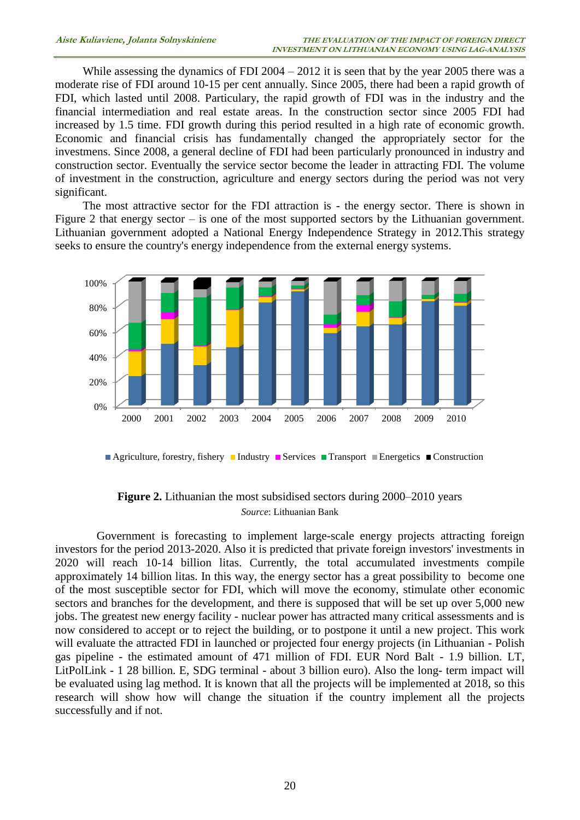While assessing the dynamics of FDI 2004 – 2012 it is seen that by the year 2005 there was a moderate rise of FDI around 10-15 per cent annually. Since 2005, there had been a rapid growth of FDI, which lasted until 2008. Particulary, the rapid growth of FDI was in the industry and the financial intermediation and real estate areas. In the construction sector since 2005 FDI had increased by 1.5 time. FDI growth during this period resulted in a high rate of economic growth. Economic and financial crisis has fundamentally changed the appropriately sector for the investmens. Since 2008, a general decline of FDI had been particularly pronounced in industry and construction sector. Eventually the service sector become the leader in attracting FDI. The volume of investment in the construction, agriculture and energy sectors during the period was not very significant.

The most attractive sector for the FDI attraction is - the energy sector. There is shown in Figure 2 that energy sector – is one of the most supported sectors by the Lithuanian government. Lithuanian government adopted a National Energy Independence Strategy in 2012.This strategy seeks to ensure the country's energy independence from the external energy systems.



Agriculture, forestry, fishery Industry Services Transport Energetics Construction

### **Figure 2.** Lithuanian the most subsidised sectors during 2000–2010 years *Source*: Lithuanian Bank

Government is forecasting to implement large-scale energy projects attracting foreign investors for the period 2013-2020. Also it is predicted that private foreign investors' investments in 2020 will reach 10-14 billion litas. Currently, the total accumulated investments compile approximately 14 billion litas. In this way, the energy sector has a great possibility to become one of the most susceptible sector for FDI, which will move the economy, stimulate other economic sectors and branches for the development, and there is supposed that will be set up over 5,000 new jobs. The greatest new energy facility - nuclear power has attracted many critical assessments and is now considered to accept or to reject the building, or to postpone it until a new project. This work will evaluate the attracted FDI in launched or projected four energy projects (in Lithuanian - Polish gas pipeline - the estimated amount of 471 million of FDI. EUR Nord Balt - 1.9 billion. LT, LitPolLink - 1 28 billion. E, SDG terminal - about 3 billion euro). Also the long- term impact will be evaluated using lag method. It is known that all the projects will be implemented at 2018, so this research will show how will change the situation if the country implement all the projects successfully and if not.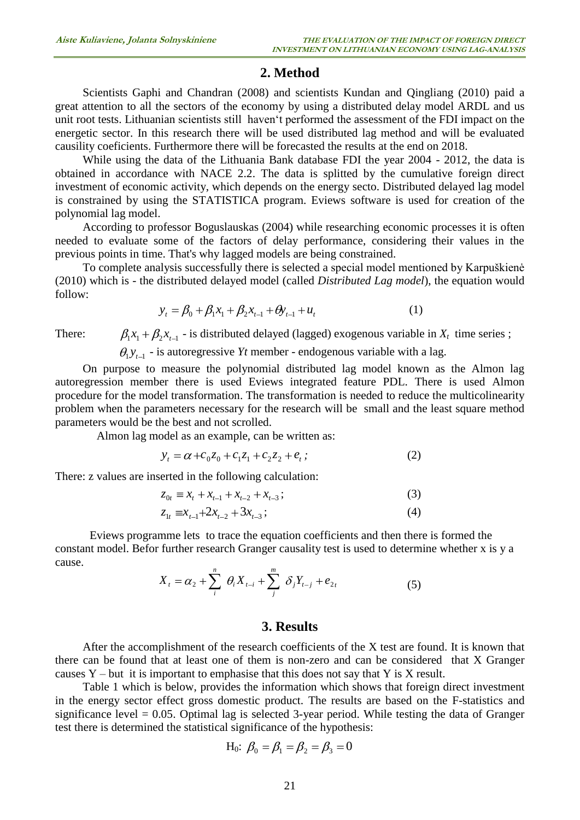### **2. Method**

Scientists Gaphi and Chandran (2008) and scientists Kundan and Qingliang (2010) paid a great attention to all the sectors of the economy by using a distributed delay model ARDL and us unit root tests. Lithuanian scientists still haven't performed the assessment of the FDI impact on the energetic sector. In this research there will be used distributed lag method and will be evaluated causility coeficients. Furthermore there will be forecasted the results at the end on 2018.

While using the data of the Lithuania Bank database FDI the year 2004 - 2012, the data is obtained in accordance with NACE 2.2. The data is splitted by the cumulative foreign direct investment of economic activity, which depends on the energy secto. Distributed delayed lag model is constrained by using the STATISTICA program. Eviews software is used for creation of the polynomial lag model.

According to professor Boguslauskas (2004) while researching economic processes it is often needed to evaluate some of the factors of delay performance, considering their values in the previous points in time. That's why lagged models are being constrained.

To complete analysis successfully there is selected a special model mentioned by Karpuškienė (2010) which is - the distributed delayed model (called *Distributed Lag model*), the equation would follow:

$$
y_t = \beta_0 + \beta_1 x_1 + \beta_2 x_{t-1} + \theta y_{t-1} + u_t
$$
 (1)

There:

 $B_1 x_1 + \beta_2 x_{t-1}$  - is distributed delayed (lagged) exogenous variable in  $X_t$  time series ;  $Y_1 Y_{t-1}$  - is autoregressive *Yt* member - endogenous variable with a lag.

On purpose to measure the polynomial distributed lag model known as the Almon lag autoregression member there is used Eviews integrated feature PDL. There is used Almon procedure for the model transformation. The transformation is needed to reduce the multicolinearity problem when the parameters necessary for the research will be small and the least square method parameters would be the best and not scrolled.

Almon lag model as an example, can be written as:

$$
y_t = \alpha + c_0 z_0 + c_1 z_1 + c_2 z_2 + e_t;
$$
 (2)

There: z values are inserted in the following calculation:

$$
z_{0t} \equiv x_t + x_{t-1} + x_{t-2} + x_{t-3};
$$
\n(3)

$$
z_{1t} \equiv x_{t-1} + 2x_{t-2} + 3x_{t-3};
$$
\n<sup>(4)</sup>

Eviews programme lets to trace the equation coefficients and then there is formed the constant model. Befor further research Granger causality test is used to determine whether x is y a cause.

$$
X_{t} = \alpha_{2} + \sum_{i}^{n} \theta_{i} X_{t-i} + \sum_{j}^{m} \delta_{j} Y_{t-j} + e_{2t}
$$
 (5)

### **3. Results**

After the accomplishment of the research coefficients of the X test are found. It is known that there can be found that at least one of them is non-zero and can be considered that X Granger causes  $Y$  – but it is important to emphasise that this does not say that Y is X result.

Table 1 which is below, provides the information which shows that foreign direct investment in the energy sector effect gross domestic product. The results are based on the F-statistics and significance level  $= 0.05$ . Optimal lag is selected 3-year period. While testing the data of Granger test there is determined the statistical significance of the hypothesis:

H<sub>0</sub>: 
$$
\beta_0 = \beta_1 = \beta_2 = \beta_3 = 0
$$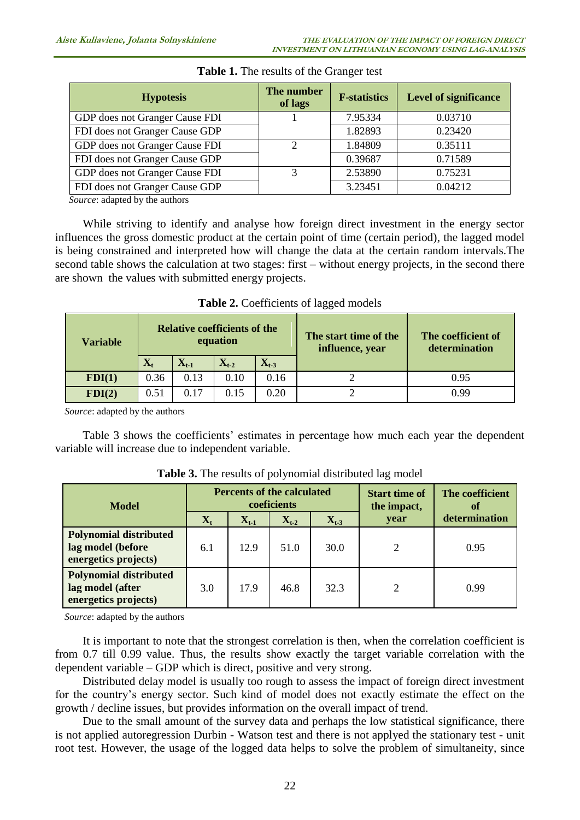| <b>Hypotesis</b>                                                             | The number<br>of lags | <b>F-statistics</b> | <b>Level of significance</b> |
|------------------------------------------------------------------------------|-----------------------|---------------------|------------------------------|
| GDP does not Granger Cause FDI                                               |                       | 7.95334             | 0.03710                      |
| FDI does not Granger Cause GDP                                               |                       | 1.82893             | 0.23420                      |
| GDP does not Granger Cause FDI                                               | ◠                     | 1.84809             | 0.35111                      |
| FDI does not Granger Cause GDP                                               |                       | 0.39687             | 0.71589                      |
| GDP does not Granger Cause FDI                                               | 3                     | 2.53890             | 0.75231                      |
| FDI does not Granger Cause GDP                                               |                       | 3.23451             | 0.04212                      |
| $\alpha$ . The set of $\alpha$ is the set of $\alpha$ is the set of $\alpha$ |                       |                     |                              |

### **Table 1.** The results of the Granger test

*Source*: adapted by the authors

While striving to identify and analyse how foreign direct investment in the energy sector influences the gross domestic product at the certain point of time (certain period), the lagged model is being constrained and interpreted how will change the data at the certain random intervals.The second table shows the calculation at two stages: first – without energy projects, in the second there are shown the values with submitted energy projects.

| <b>Relative coefficients of the</b><br>equation<br><b>Variable</b> |                |           |                    |                    | The start time of the<br>influence, year | The coefficient of<br>determination |  |
|--------------------------------------------------------------------|----------------|-----------|--------------------|--------------------|------------------------------------------|-------------------------------------|--|
|                                                                    | $\mathbf{X}_t$ | $X_{t-1}$ | $\mathbf{X}_{t-2}$ | $\mathbf{X}_{t-3}$ |                                          |                                     |  |
| FDI(1)                                                             | 0.36           | 0.13      | 0.10               | 0.16               |                                          | 0.95                                |  |
| FDI(2)                                                             | 0.51           | 0.17      | 0.15               | 0.20               |                                          | 0.99                                |  |

**Table 2.** Coefficients of lagged models

*Source*: adapted by the authors

Table 3 shows the coefficients' estimates in percentage how much each year the dependent variable will increase due to independent variable.

| <b>Model</b>                                                               | <b>Percents of the calculated</b><br>coeficients |           |           |           | <b>Start time of</b><br>the impact, | The coefficient<br>of |
|----------------------------------------------------------------------------|--------------------------------------------------|-----------|-----------|-----------|-------------------------------------|-----------------------|
|                                                                            | $\mathbf{X}_{t}$                                 | $X_{t-1}$ | $X_{t-2}$ | $X_{t-3}$ | year                                | determination         |
| <b>Polynomial distributed</b><br>lag model (before<br>energetics projects) | 6.1                                              | 12.9      | 51.0      | 30.0      | 2                                   | 0.95                  |
| <b>Polynomial distributed</b><br>lag model (after<br>energetics projects)  | 3.0                                              | 17.9      | 46.8      | 32.3      | 2                                   | 0.99                  |

**Table 3.** The results of polynomial distributed lag model

*Source*: adapted by the authors

It is important to note that the strongest correlation is then, when the correlation coefficient is from 0.7 till 0.99 value. Thus, the results show exactly the target variable correlation with the dependent variable – GDP which is direct, positive and very strong.

Distributed delay model is usually too rough to assess the impact of foreign direct investment for the country's energy sector. Such kind of model does not exactly estimate the effect on the growth / decline issues, but provides information on the overall impact of trend.

Due to the small amount of the survey data and perhaps the low statistical significance, there is not applied autoregression Durbin - Watson test and there is not applyed the stationary test - unit root test. However, the usage of the logged data helps to solve the problem of simultaneity, since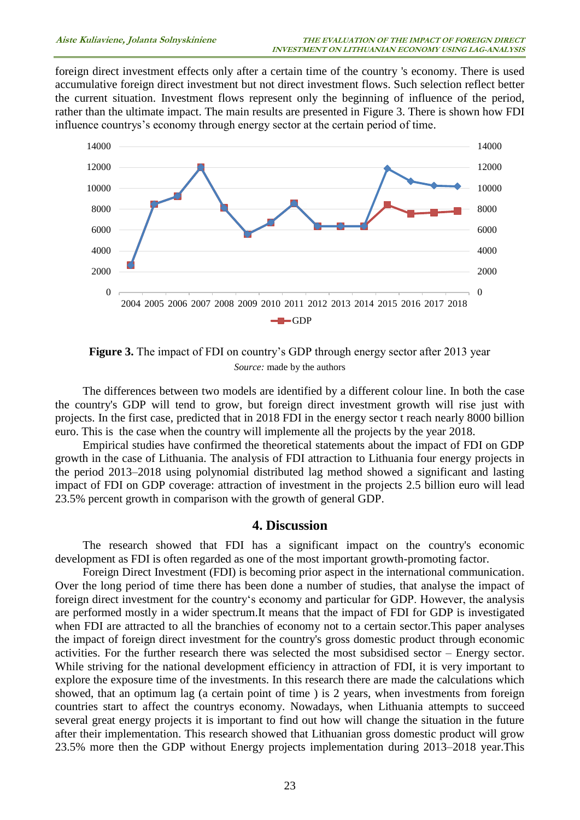foreign direct investment effects only after a certain time of the country 's economy. There is used accumulative foreign direct investment but not direct investment flows. Such selection reflect better the current situation. Investment flows represent only the beginning of influence of the period, rather than the ultimate impact. The main results are presented in Figure 3. There is shown how FDI influence countrys's economy through energy sector at the certain period of time.



**Figure 3.** The impact of FDI on country's GDP through energy sector after 2013 year *Source:* made by the authors

The differences between two models are identified by a different colour line. In both the case the country's GDP will tend to grow, but foreign direct investment growth will rise just with projects. In the first case, predicted that in 2018 FDI in the energy sector t reach nearly 8000 billion euro. This is the case when the country will implemente all the projects by the year 2018.

Empirical studies have confirmed the theoretical statements about the impact of FDI on GDP growth in the case of Lithuania. The analysis of FDI attraction to Lithuania four energy projects in the period 2013–2018 using polynomial distributed lag method showed a significant and lasting impact of FDI on GDP coverage: attraction of investment in the projects 2.5 billion euro will lead 23.5% percent growth in comparison with the growth of general GDP.

#### **4. Discussion**

The research showed that FDI has a significant impact on the country's economic development as FDI is often regarded as one of the most important growth-promoting factor.

Foreign Direct Investment (FDI) is becoming prior aspect in the international communication. Over the long period of time there has been done a number of studies, that analyse the impact of foreign direct investment for the country's economy and particular for GDP. However, the analysis are performed mostly in a wider spectrum.It means that the impact of FDI for GDP is investigated when FDI are attracted to all the branchies of economy not to a certain sector.This paper analyses the impact of foreign direct investment for the country's gross domestic product through economic activities. For the further research there was selected the most subsidised sector – Energy sector. While striving for the national development efficiency in attraction of FDI, it is very important to explore the exposure time of the investments. In this research there are made the calculations which showed, that an optimum lag (a certain point of time ) is 2 years, when investments from foreign countries start to affect the countrys economy. Nowadays, when Lithuania attempts to succeed several great energy projects it is important to find out how will change the situation in the future after their implementation. This research showed that Lithuanian gross domestic product will grow 23.5% more then the GDP without Energy projects implementation during 2013–2018 year.This